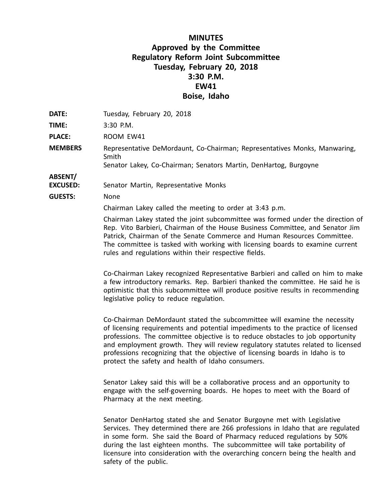## **MINUTES Approved by the Committee Regulatory Reform Joint Subcommittee Tuesday, February 20, 2018 3:30 P.M. EW41 Boise, Idaho**

**DATE:** Tuesday, February 20, 2018

**TIME:** 3:30 P.M.

**PLACE:** ROOM EW41

**MEMBERS** Representative DeMordaunt, Co-Chairman; Representatives Monks, Manwaring, Smith Senator Lakey, Co-Chairman; Senators Martin, DenHartog, Burgoyne

**ABSENT/**

**EXCUSED:** Senator Martin, Representative Monks

**GUESTS:** None

Chairman Lakey called the meeting to order at 3:43 p.m.

Chairman Lakey stated the joint subcommittee was formed under the direction of Rep. Vito Barbieri, Chairman of the House Business Committee, and Senator Jim Patrick, Chairman of the Senate Commerce and Human Resources Committee. The committee is tasked with working with licensing boards to examine current rules and regulations within their respective fields.

Co-Chairman Lakey recognized Representative Barbieri and called on him to make <sup>a</sup> few introductory remarks. Rep. Barbieri thanked the committee. He said he is optimistic that this subcommittee will produce positive results in recommending legislative policy to reduce regulation.

Co-Chairman DeMordaunt stated the subcommittee will examine the necessity of licensing requirements and potential impediments to the practice of licensed professions. The committee objective is to reduce obstacles to job opportunity and employment growth. They will review regulatory statutes related to licensed professions recognizing that the objective of licensing boards in Idaho is to protect the safety and health of Idaho consumers.

Senator Lakey said this will be <sup>a</sup> collaborative process and an opportunity to engage with the self-governing boards. He hopes to meet with the Board of Pharmacy at the next meeting.

Senator DenHartog stated she and Senator Burgoyne met with Legislative Services. They determined there are 266 professions in Idaho that are regulated in some form. She said the Board of Pharmacy reduced regulations by 50% during the last eighteen months. The subcommittee will take portability of licensure into consideration with the overarching concern being the health and safety of the public.